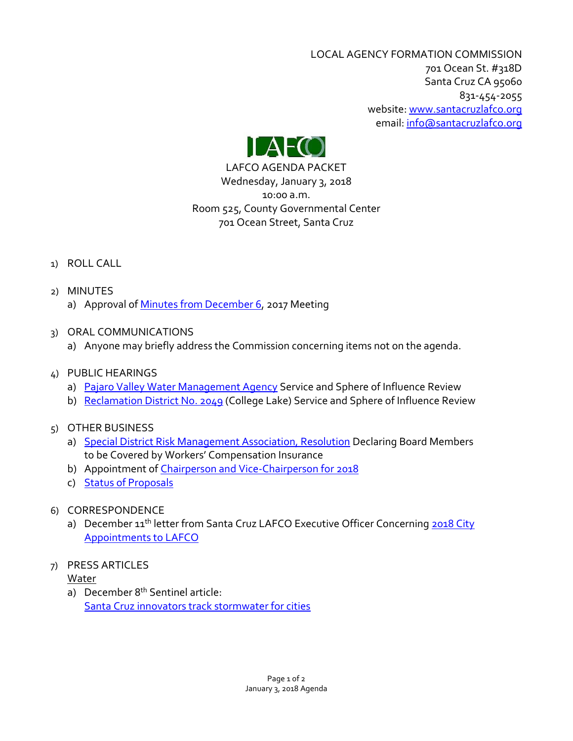LOCAL AGENCY FORMATION COMMISSION 701 Ocean St. #318D Santa Cruz CA 95060 831-454-2055 website: [www.santacruzlafco.org](http://www.santacruzlafco.org/) email[: info@santacruzlafco.org](mailto:info@santacruzlafco.org)



LAFCO AGENDA PACKET Wednesday, January 3, 2018 10:00 a.m. Room 525, County Governmental Center 701 Ocean Street, Santa Cruz

# 1) ROLL CALL

- 2) MINUTES
	- a) Approval of [Minutes from December 6,](http://www.santacruzlafco.org/wp-content/uploads/2017/12/12-6-17-Minutes.pdf) 2017 Meeting
- 3) ORAL COMMUNICATIONS
	- a) Anyone may briefly address the Commission concerning items not on the agenda.
- 4) PUBLIC HEARINGS
	- a) [Pajaro Valley Water Management Agency](http://www.santacruzlafco.org/wp-content/uploads/2017/12/4a-Final.pdf) Service and Sphere of Influence Review
	- b) [Reclamation District No. 2049](http://www.santacruzlafco.org/wp-content/uploads/2017/12/4b-Final.pdf) (College Lake) Service and Sphere of Influence Review

# 5) OTHER BUSINESS

- a) [Special District Risk Management Association, Resolution](http://www.santacruzlafco.org/wp-content/uploads/2017/12/5a-Final.pdf) Declaring Board Members to be Covered by Workers' Compensation Insurance
- b) Appointment o[f Chairperson and Vice-Chairperson for 2018](http://www.santacruzlafco.org/wp-content/uploads/2017/12/5b-2018-Officers.pdf)
- c) [Status of Proposals](http://www.santacruzlafco.org/wp-content/uploads/2017/12/Status-of-Proposals-12-27-17.pdf)
- 6) CORRESPONDENCE
	- a) December 11<sup>th</sup> letter from Santa Cruz LAFCO Executive Officer Concerning 2018 City [Appointments to LAFCO](http://www.santacruzlafco.org/wp-content/uploads/2017/12/6a-City-Selection-2018.pdf)
- 7) PRESS ARTICLES

# Water

a) December 8<sup>th</sup> Sentinel article: [Santa Cruz innovators track stormwater for cities](http://www.santacruzlafco.org/wp-content/uploads/2017/12/7a-Sentinel-article-Santa-Cruz-innovators.pdf)